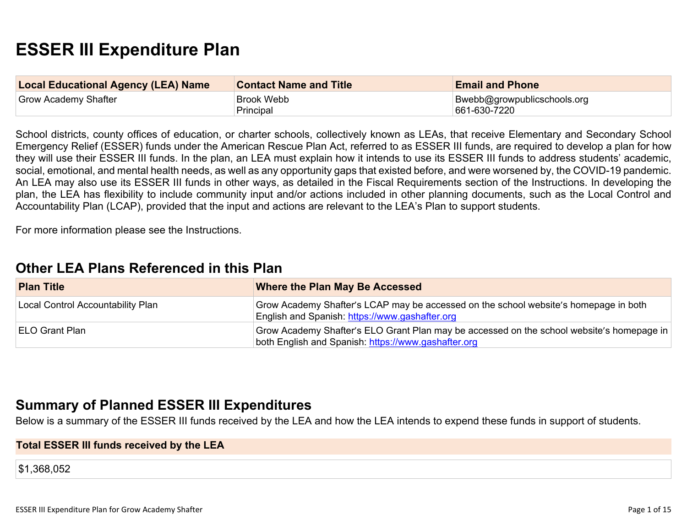# **ESSER III Expenditure Plan**

| <b>Local Educational Agency (LEA) Name</b> | <b>Contact Name and Title</b> | <b>Email and Phone</b>                       |
|--------------------------------------------|-------------------------------|----------------------------------------------|
| Grow Academy Shafter                       | Brook Webb<br>Principal       | Bwebb@growpublicschools.org<br> 661-630-7220 |

School districts, county offices of education, or charter schools, collectively known as LEAs, that receive Elementary and Secondary School Emergency Relief (ESSER) funds under the American Rescue Plan Act, referred to as ESSER III funds, are required to develop a plan for how they will use their ESSER III funds. In the plan, an LEA must explain how it intends to use its ESSER III funds to address students' academic, social, emotional, and mental health needs, as well as any opportunity gaps that existed before, and were worsened by, the COVID-19 pandemic. An LEA may also use its ESSER III funds in other ways, as detailed in the Fiscal Requirements section of the Instructions. In developing the plan, the LEA has flexibility to include community input and/or actions included in other planning documents, such as the Local Control and Accountability Plan (LCAP), provided that the input and actions are relevant to the LEA's Plan to support students.

For more information please see the Instructions.

### **Other LEA Plans [Referenced](#page-9-0) in this Plan**

| <b>Plan Title</b>                 | <b>Where the Plan May Be Accessed</b>                                                                                                            |
|-----------------------------------|--------------------------------------------------------------------------------------------------------------------------------------------------|
| Local Control Accountability Plan | Grow Academy Shafter's LCAP may be accessed on the school website's homepage in both<br>English and Spanish: https://www.gashafter.org           |
| ELO Grant Plan                    | Grow Academy Shafter's ELO Grant Plan may be accessed on the school website's homepage in<br>both English and Spanish: https://www.gashafter.org |

### **Summary of Planned ESSER III [Expenditures](#page-9-1)**

Below is a summary of the ESSER III funds received by the LEA and how the LEA intends to expend these funds in support of students.

#### **Total ESSER III funds received by the LEA**

\$1,368,052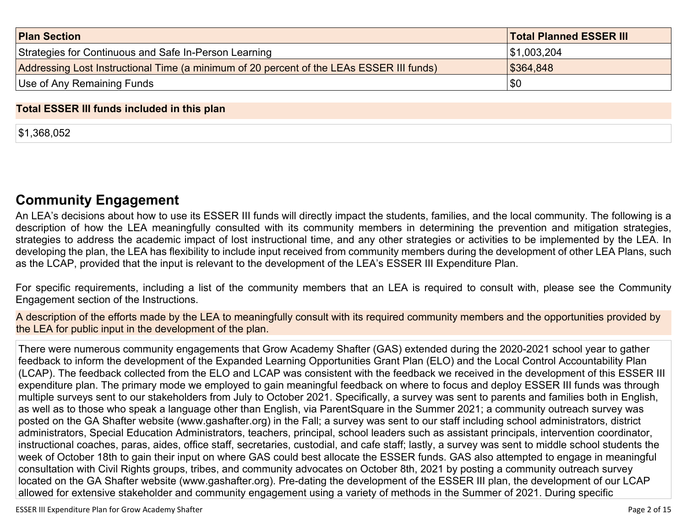| <b>Plan Section</b>                                                                      | <b>Total Planned ESSER III</b> |
|------------------------------------------------------------------------------------------|--------------------------------|
| Strategies for Continuous and Safe In-Person Learning                                    | \$1,003,204                    |
| Addressing Lost Instructional Time (a minimum of 20 percent of the LEAs ESSER III funds) | \$364,848                      |
| Use of Any Remaining Funds                                                               | \$0                            |

#### **Total ESSER III funds included in this plan**

\$1,368,052

### **Community [Engagement](#page-10-0)**

An LEA's decisions about how to use its ESSER III funds will directly impact the students, families, and the local community. The following is a description of how the LEA meaningfully consulted with its community members in determining the prevention and mitigation strategies, strategies to address the academic impact of lost instructional time, and any other strategies or activities to be implemented by the LEA. In developing the plan, the LEA has flexibility to include input received from community members during the development of other LEA Plans, such as the LCAP, provided that the input is relevant to the development of the LEA's ESSER III Expenditure Plan.

For specific requirements, including a list of the community members that an LEA is required to consult with, please see the Community Engagement section of the Instructions.

A description of the efforts made by the LEA to meaningfully consult with its required community members and the opportunities provided by the LEA for public input in the development of the plan.

There were numerous community engagements that Grow Academy Shafter (GAS) extended during the 2020-2021 school year to gather feedback to inform the development of the Expanded Learning Opportunities Grant Plan (ELO) and the Local Control Accountability Plan (LCAP). The feedback collected from the ELO and LCAP was consistent with the feedback we received in the development of this ESSER III expenditure plan. The primary mode we employed to gain meaningful feedback on where to focus and deploy ESSER III funds was through multiple surveys sent to our stakeholders from July to October 2021. Specifically, a survey was sent to parents and families both in English, as well as to those who speak a language other than English, via ParentSquare in the Summer 2021; a community outreach survey was posted on the GA Shafter website (www.gashafter.org) in the Fall; a survey was sent to our staff including school administrators, district administrators, Special Education Administrators, teachers, principal, school leaders such as assistant principals, intervention coordinator, instructional coaches, paras, aides, office staff, secretaries, custodial, and cafe staff; lastly, a survey was sent to middle school students the week of October 18th to gain their input on where GAS could best allocate the ESSER funds. GAS also attempted to engage in meaningful consultation with Civil Rights groups, tribes, and community advocates on October 8th, 2021 by posting a community outreach survey located on the GA Shafter website (www.gashafter.org). Pre-dating the development of the ESSER III plan, the development of our LCAP allowed for extensive stakeholder and community engagement using a variety of methods in the Summer of 2021. During specific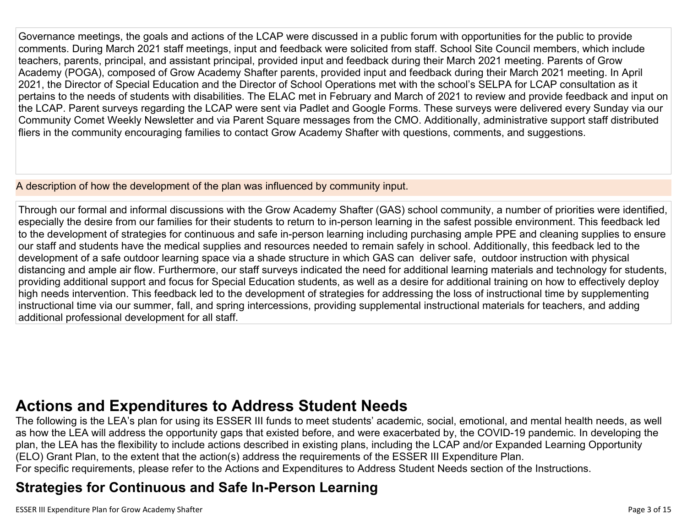Governance meetings, the goals and actions of the LCAP were discussed in a public forum with opportunities for the public to provide comments. During March 2021 staff meetings, input and feedback were solicited from staff. School Site Council members, which include teachers, parents, principal, and assistant principal, provided input and feedback during their March 2021 meeting. Parents of Grow Academy (POGA), composed of Grow Academy Shafter parents, provided input and feedback during their March 2021 meeting. In April 2021, the Director of Special Education and the Director of School Operations met with the school's SELPA for LCAP consultation as it pertains to the needs of students with disabilities. The ELAC met in February and March of 2021 to review and provide feedback and input on the LCAP. Parent surveys regarding the LCAP were sent via Padlet and Google Forms. These surveys were delivered every Sunday via our Community Comet Weekly Newsletter and via Parent Square messages from the CMO. Additionally, administrative support staff distributed fliers in the community encouraging families to contact Grow Academy Shafter with questions, comments, and suggestions.

A description of how the development of the plan was influenced by community input.

Through our formal and informal discussions with the Grow Academy Shafter (GAS) school community, a number of priorities were identified, especially the desire from our families for their students to return to in-person learning in the safest possible environment. This feedback led to the development of strategies for continuous and safe in-person learning including purchasing ample PPE and cleaning supplies to ensure our staff and students have the medical supplies and resources needed to remain safely in school. Additionally, this feedback led to the development of a safe outdoor learning space via a shade structure in which GAS can deliver safe, outdoor instruction with physical distancing and ample air flow. Furthermore, our staff surveys indicated the need for additional learning materials and technology for students, providing additional support and focus for Special Education students, as well as a desire for additional training on how to effectively deploy high needs intervention. This feedback led to the development of strategies for addressing the loss of instructional time by supplementing instructional time via our summer, fall, and spring intercessions, providing supplemental instructional materials for teachers, and adding additional professional development for all staff.

## **Actions and [Expenditures](#page-12-0) to Address Student Needs**

The following is the LEA's plan for using its ESSER III funds to meet students' academic, social, emotional, and mental health needs, as well as how the LEA will address the opportunity gaps that existed before, and were exacerbated by, the COVID-19 pandemic. In developing the plan, the LEA has the flexibility to include actions described in existing plans, including the LCAP and/or Expanded Learning Opportunity (ELO) Grant Plan, to the extent that the action(s) address the requirements of the ESSER III Expenditure Plan. For specific requirements, please refer to the Actions and Expenditures to Address Student Needs section of the Instructions.

## **Strategies for [Continuous](#page-12-1) and Safe In-Person Learning**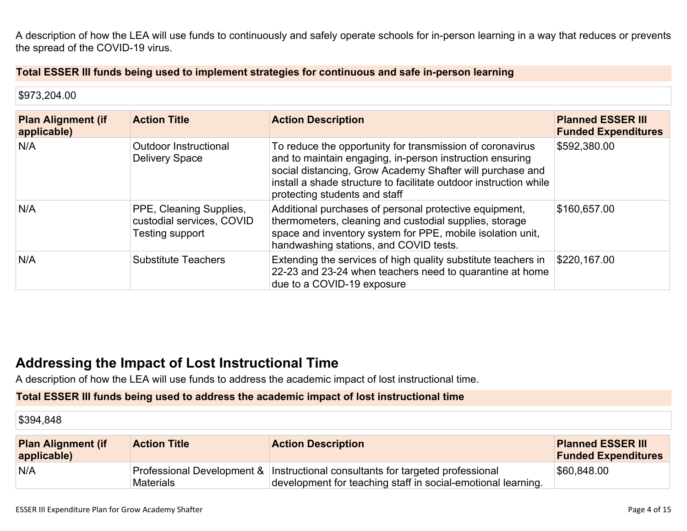A description of how the LEA will use funds to continuously and safely operate schools for in-person learning in a way that reduces or prevents the spread of the COVID-19 virus.

#### **Total ESSER III funds being used to implement strategies for continuous and safe in-person learning**

| \$973,204.00                             |                                                                         |                                                                                                                                                                                                                                                                                          |                                                        |
|------------------------------------------|-------------------------------------------------------------------------|------------------------------------------------------------------------------------------------------------------------------------------------------------------------------------------------------------------------------------------------------------------------------------------|--------------------------------------------------------|
| <b>Plan Alignment (if</b><br>applicable) | <b>Action Title</b>                                                     | <b>Action Description</b>                                                                                                                                                                                                                                                                | <b>Planned ESSER III</b><br><b>Funded Expenditures</b> |
| N/A                                      | Outdoor Instructional<br><b>Delivery Space</b>                          | To reduce the opportunity for transmission of coronavirus<br>and to maintain engaging, in-person instruction ensuring<br>social distancing, Grow Academy Shafter will purchase and<br>install a shade structure to facilitate outdoor instruction while<br>protecting students and staff | \$592,380.00                                           |
| N/A                                      | PPE, Cleaning Supplies,<br>custodial services, COVID<br>Testing support | Additional purchases of personal protective equipment,<br>thermometers, cleaning and custodial supplies, storage<br>space and inventory system for PPE, mobile isolation unit,<br>handwashing stations, and COVID tests.                                                                 | \$160,657.00                                           |
| N/A                                      | <b>Substitute Teachers</b>                                              | Extending the services of high quality substitute teachers in<br>22-23 and 23-24 when teachers need to quarantine at home<br>due to a COVID-19 exposure                                                                                                                                  | \$220,167.00                                           |

### **Addressing the Impact of Lost [Instructional](#page-13-0) Tim[e](#page-13-0)**

A description of how the LEA will use funds to address the academic impact of lost instructional time.

#### **Total ESSER III funds being used to address the academic impact of lost instructional time**

\$394,848

| <b>Plan Alignment (if</b><br>applicable) | <b>Action Title</b> | <b>Action Description</b>                                                                                                                      | <b>Planned ESSER III</b><br><b>Funded Expenditures</b> |
|------------------------------------------|---------------------|------------------------------------------------------------------------------------------------------------------------------------------------|--------------------------------------------------------|
| N/A                                      | <b>Materials</b>    | Professional Development & Instructional consultants for targeted professional<br>development for teaching staff in social-emotional learning. | \$60,848.00                                            |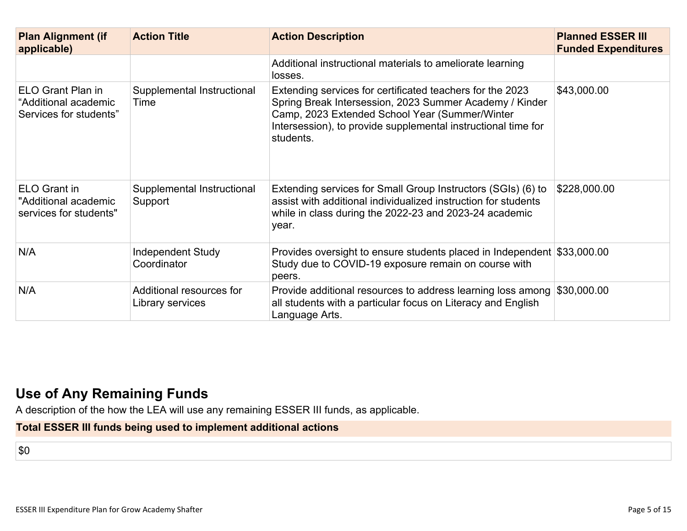| <b>Plan Alignment (if</b><br>applicable)                              | <b>Action Title</b>                          | <b>Action Description</b>                                                                                                                                                                                                                            | <b>Planned ESSER III</b><br><b>Funded Expenditures</b> |
|-----------------------------------------------------------------------|----------------------------------------------|------------------------------------------------------------------------------------------------------------------------------------------------------------------------------------------------------------------------------------------------------|--------------------------------------------------------|
|                                                                       |                                              | Additional instructional materials to ameliorate learning<br>losses.                                                                                                                                                                                 |                                                        |
| ELO Grant Plan in<br>"Additional academic<br>Services for students"   | Supplemental Instructional<br>Time           | Extending services for certificated teachers for the 2023<br>Spring Break Intersession, 2023 Summer Academy / Kinder<br>Camp, 2023 Extended School Year (Summer/Winter<br>Intersession), to provide supplemental instructional time for<br>students. | \$43,000.00                                            |
| <b>ELO Grant in</b><br>"Additional academic<br>services for students" | Supplemental Instructional<br>Support        | Extending services for Small Group Instructors (SGIs) (6) to<br>assist with additional individualized instruction for students<br>while in class during the 2022-23 and 2023-24 academic<br>year.                                                    | \$228,000.00                                           |
| N/A                                                                   | <b>Independent Study</b><br>Coordinator      | Provides oversight to ensure students placed in Independent \$33,000.00<br>Study due to COVID-19 exposure remain on course with<br>peers.                                                                                                            |                                                        |
| N/A                                                                   | Additional resources for<br>Library services | Provide additional resources to address learning loss among<br>all students with a particular focus on Literacy and English<br>Language Arts.                                                                                                        | \$30,000.00                                            |

### **Use of Any [Remaining](#page-13-1) Fund[s](#page-13-1)**

A description of the how the LEA will use any remaining ESSER III funds, as applicable.

**Total ESSER III funds being used to implement additional actions**

\$0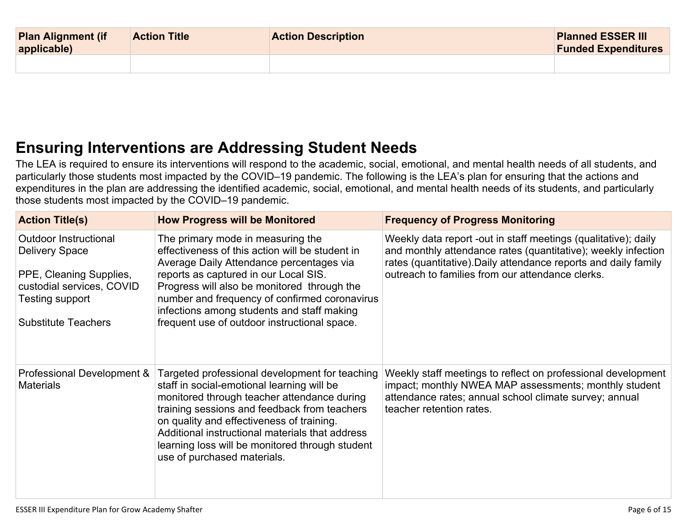| <b>Plan Alignment (if</b><br>applicable) | <b>Action Title</b> | <b>Action Description</b> | <b>Planned ESSER III</b><br><b>Funded Expenditures</b> |
|------------------------------------------|---------------------|---------------------------|--------------------------------------------------------|
|                                          |                     |                           |                                                        |

## **Ensuring [Interventions](#page-13-2) are Addressing Student Need[s](#page-13-2)**

The LEA is required to ensure its interventions will respond to the academic, social, emotional, and mental health needs of all students, and particularly those students most impacted by the COVID–19 pandemic. The following is the LEA's plan for ensuring that the actions and expenditures in the plan are addressing the identified academic, social, emotional, and mental health needs of its students, and particularly those students most impacted by the COVID–19 pandemic.

| <b>Action Title(s)</b>                                                                                                                                         | <b>How Progress will be Monitored</b>                                                                                                                                                                                                                                                                                                                                         | <b>Frequency of Progress Monitoring</b>                                                                                                                                                                                                                |
|----------------------------------------------------------------------------------------------------------------------------------------------------------------|-------------------------------------------------------------------------------------------------------------------------------------------------------------------------------------------------------------------------------------------------------------------------------------------------------------------------------------------------------------------------------|--------------------------------------------------------------------------------------------------------------------------------------------------------------------------------------------------------------------------------------------------------|
| <b>Outdoor Instructional</b><br><b>Delivery Space</b><br>PPE, Cleaning Supplies,<br>custodial services, COVID<br>Testing support<br><b>Substitute Teachers</b> | The primary mode in measuring the<br>effectiveness of this action will be student in<br>Average Daily Attendance percentages via<br>reports as captured in our Local SIS.<br>Progress will also be monitored through the<br>number and frequency of confirmed coronavirus<br>infections among students and staff making<br>frequent use of outdoor instructional space.       | Weekly data report -out in staff meetings (qualitative); daily<br>and monthly attendance rates (quantitative); weekly infection<br>rates (quantitative). Daily attendance reports and daily family<br>outreach to families from our attendance clerks. |
| Professional Development &<br><b>Materials</b>                                                                                                                 | Targeted professional development for teaching<br>staff in social-emotional learning will be<br>monitored through teacher attendance during<br>training sessions and feedback from teachers<br>on quality and effectiveness of training.<br>Additional instructional materials that address<br>learning loss will be monitored through student<br>use of purchased materials. | Weekly staff meetings to reflect on professional development<br>impact; monthly NWEA MAP assessments; monthly student<br>attendance rates; annual school climate survey; annual<br>teacher retention rates.                                            |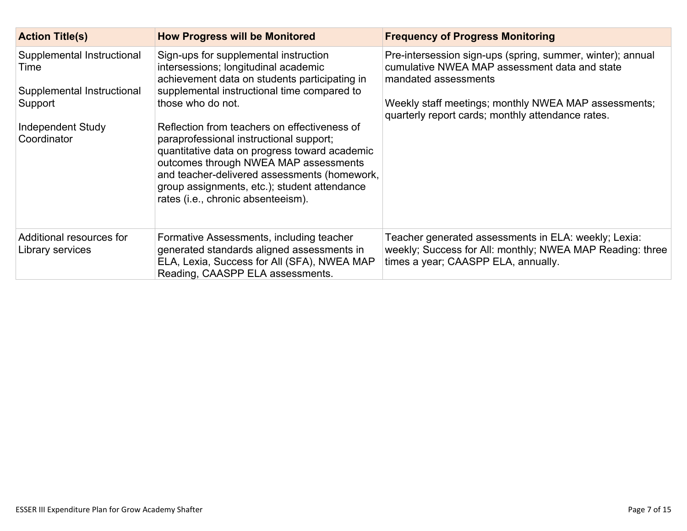| <b>Action Title(s)</b>                                                                                          | <b>How Progress will be Monitored</b>                                                                                                                                                                                                                                                                                                                                                                                                                                                                                         | <b>Frequency of Progress Monitoring</b>                                                                                                                                                                                                          |
|-----------------------------------------------------------------------------------------------------------------|-------------------------------------------------------------------------------------------------------------------------------------------------------------------------------------------------------------------------------------------------------------------------------------------------------------------------------------------------------------------------------------------------------------------------------------------------------------------------------------------------------------------------------|--------------------------------------------------------------------------------------------------------------------------------------------------------------------------------------------------------------------------------------------------|
| Supplemental Instructional<br>Time<br>Supplemental Instructional<br>Support<br>Independent Study<br>Coordinator | Sign-ups for supplemental instruction<br>intersessions; longitudinal academic<br>achievement data on students participating in<br>supplemental instructional time compared to<br>those who do not.<br>Reflection from teachers on effectiveness of<br>paraprofessional instructional support;<br>quantitative data on progress toward academic<br>outcomes through NWEA MAP assessments<br>and teacher-delivered assessments (homework,<br>group assignments, etc.); student attendance<br>rates (i.e., chronic absenteeism). | Pre-intersession sign-ups (spring, summer, winter); annual<br>cumulative NWEA MAP assessment data and state<br>mandated assessments<br>Weekly staff meetings; monthly NWEA MAP assessments;<br>quarterly report cards; monthly attendance rates. |
| Additional resources for<br>Library services                                                                    | Formative Assessments, including teacher<br>generated standards aligned assessments in<br>ELA, Lexia, Success for All (SFA), NWEA MAP<br>Reading, CAASPP ELA assessments.                                                                                                                                                                                                                                                                                                                                                     | Teacher generated assessments in ELA: weekly; Lexia:<br>weekly; Success for All: monthly; NWEA MAP Reading: three<br>times a year; CAASPP ELA, annually.                                                                                         |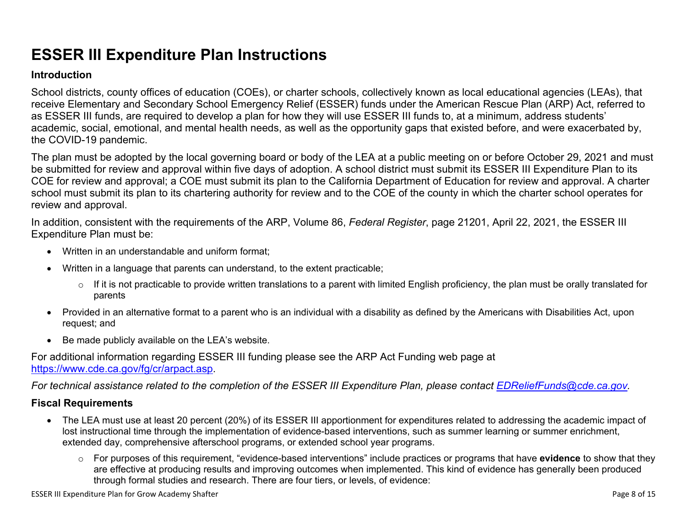# **ESSER III Expenditure Plan Instructions**

#### **Introduction**

School districts, county offices of education (COEs), or charter schools, collectively known as local educational agencies (LEAs), that receive Elementary and Secondary School Emergency Relief (ESSER) funds under the American Rescue Plan (ARP) Act, referred to as ESSER III funds, are required to develop a plan for how they will use ESSER III funds to, at a minimum, address students' academic, social, emotional, and mental health needs, as well as the opportunity gaps that existed before, and were exacerbated by, the COVID-19 pandemic.

The plan must be adopted by the local governing board or body of the LEA at a public meeting on or before October 29, 2021 and must be submitted for review and approval within five days of adoption. A school district must submit its ESSER III Expenditure Plan to its COE for review and approval; a COE must submit its plan to the California Department of Education for review and approval. A charter school must submit its plan to its chartering authority for review and to the COE of the county in which the charter school operates for review and approval.

In addition, consistent with the requirements of the ARP, Volume 86, *Federal Register*, page 21201, April 22, 2021, the ESSER III Expenditure Plan must be:

- Written in an understandable and uniform format;
- Written in a language that parents can understand, to the extent practicable;
	- $\circ$  If it is not practicable to provide written translations to a parent with limited English proficiency, the plan must be orally translated for parents
- Provided in an alternative format to a parent who is an individual with a disability as defined by the Americans with Disabilities Act, upon request; and
- Be made publicly available on the LEA's website.

For additional information regarding ESSER III funding please see the ARP Act Funding web page at <https://www.cde.ca.gov/fg/cr/arpact.asp>.

For technical assistance related to the completion of the ESSER III Expenditure Plan, please contact [EDReliefFunds@cde.ca.gov](mailto:EDReliefFunds@cde.ca.gov).

#### **Fiscal Requirements**

- The LEA must use at least 20 percent (20%) of its ESSER III apportionment for expenditures related to addressing the academic impact of lost instructional time through the implementation of evidence-based interventions, such as summer learning or summer enrichment, extended day, comprehensive afterschool programs, or extended school year programs.
	- o For purposes of this requirement, "evidence-based interventions" include practices or programs that have **evidence** to show that they are effective at producing results and improving outcomes when implemented. This kind of evidence has generally been produced through formal studies and research. There are four tiers, or levels, of evidence: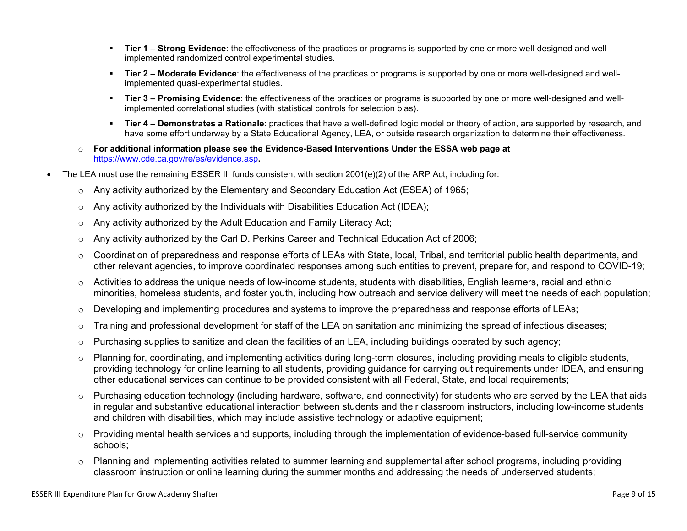- **Tier 1 – Strong Evidence**: the effectiveness of the practices or programs is supported by one or more well-designed and wellimplemented randomized control experimental studies.
- **Tier 2 – Moderate Evidence**: the effectiveness of the practices or programs is supported by one or more well-designed and wellimplemented quasi-experimental studies.
- **Tier 3 – Promising Evidence**: the effectiveness of the practices or programs is supported by one or more well-designed and wellimplemented correlational studies (with statistical controls for selection bias).
- **Tier 4 – Demonstrates a Rationale**: practices that have a well-defined logic model or theory of action, are supported by research, and have some effort underway by a State Educational Agency, LEA, or outside research organization to determine their effectiveness.
- o **For additional information please see the Evidence-Based Interventions Under the ESSA web page at** <https://www.cde.ca.gov/re/es/evidence.asp>**.**
- The LEA must use the remaining ESSER III funds consistent with section 2001(e)(2) of the ARP Act, including for:
	- $\circ$  Any activity authorized by the Elementary and Secondary Education Act (ESEA) of 1965;
	- $\circ$  Any activity authorized by the Individuals with Disabilities Education Act (IDEA);
	- o Any activity authorized by the Adult Education and Family Literacy Act;
	- $\circ$  Any activity authorized by the Carl D. Perkins Career and Technical Education Act of 2006;
	- $\circ$  Coordination of preparedness and response efforts of LEAs with State, local, Tribal, and territorial public health departments, and other relevant agencies, to improve coordinated responses among such entities to prevent, prepare for, and respond to COVID-19;
	- $\circ$  Activities to address the unique needs of low-income students, students with disabilities, English learners, racial and ethnic minorities, homeless students, and foster youth, including how outreach and service delivery will meet the needs of each population;
	- o Developing and implementing procedures and systems to improve the preparedness and response efforts of LEAs;
	- $\circ$  Training and professional development for staff of the LEA on sanitation and minimizing the spread of infectious diseases;
	- $\circ$  Purchasing supplies to sanitize and clean the facilities of an LEA, including buildings operated by such agency;
	- $\circ$  Planning for, coordinating, and implementing activities during long-term closures, including providing meals to eligible students, providing technology for online learning to all students, providing guidance for carrying out requirements under IDEA, and ensuring other educational services can continue to be provided consistent with all Federal, State, and local requirements;
	- $\circ$  Purchasing education technology (including hardware, software, and connectivity) for students who are served by the LEA that aids in regular and substantive educational interaction between students and their classroom instructors, including low-income students and children with disabilities, which may include assistive technology or adaptive equipment;
	- $\circ$  Providing mental health services and supports, including through the implementation of evidence-based full-service community schools;
	- o Planning and implementing activities related to summer learning and supplemental after school programs, including providing classroom instruction or online learning during the summer months and addressing the needs of underserved students;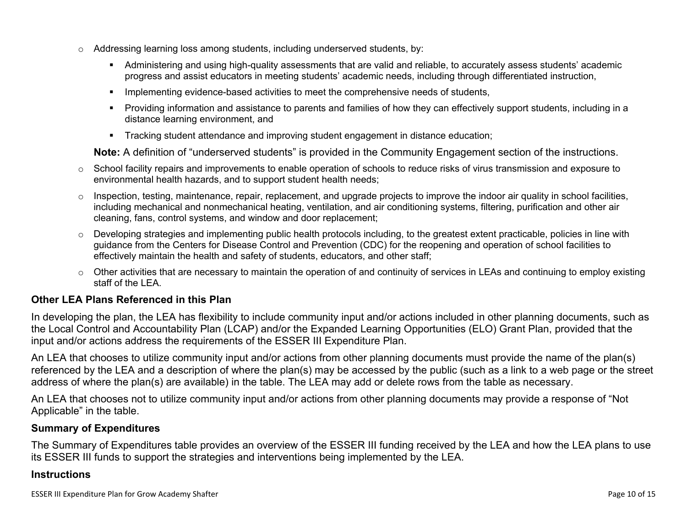- $\circ$  Addressing learning loss among students, including underserved students, by:
	- Administering and using high-quality assessments that are valid and reliable, to accurately assess students' academic progress and assist educators in meeting students' academic needs, including through differentiated instruction,
	- **IMPLEMENTER IMPLEMENT LIME STARK IMPLEMENT IMPLEMENT IMPLY** Implementing evidents,
	- Providing information and assistance to parents and families of how they can effectively support students, including in a distance learning environment, and
	- Tracking student attendance and improving student engagement in distance education;

**Note:** A definition of "underserved students" is provided in the Community Engagement section of the instructions.

- $\circ$  School facility repairs and improvements to enable operation of schools to reduce risks of virus transmission and exposure to environmental health hazards, and to support student health needs;
- $\circ$  Inspection, testing, maintenance, repair, replacement, and upgrade projects to improve the indoor air quality in school facilities, including mechanical and nonmechanical heating, ventilation, and air conditioning systems, filtering, purification and other air cleaning, fans, control systems, and window and door replacement;
- $\circ$  Developing strategies and implementing public health protocols including, to the greatest extent practicable, policies in line with guidance from the Centers for Disease Control and Prevention (CDC) for the reopening and operation of school facilities to effectively maintain the health and safety of students, educators, and other staff;
- $\circ$  Other activities that are necessary to maintain the operation of and continuity of services in LEAs and continuing to employ existing staff of the LEA.

#### <span id="page-9-0"></span>**Other LEA Plans Referenced in this Plan**

In developing the plan, the LEA has flexibility to include community input and/or actions included in other planning documents, such as the Local Control and Accountability Plan (LCAP) and/or the Expanded Learning Opportunities (ELO) Grant Plan, provided that the input and/or actions address the requirements of the ESSER III Expenditure Plan.

An LEA that chooses to utilize community input and/or actions from other planning documents must provide the name of the plan(s) referenced by the LEA and a description of where the plan(s) may be accessed by the public (such as a link to a web page or the street address of where the plan(s) are available) in the table. The LEA may add or delete rows from the table as necessary.

An LEA that chooses not to utilize community input and/or actions from other planning documents may provide a response of "Not Applicable" in the table.

#### <span id="page-9-1"></span>**Summary of Expenditures**

The Summary of Expenditures table provides an overview of the ESSER III funding received by the LEA and how the LEA plans to use its ESSER III funds to support the strategies and interventions being implemented by the LEA.

#### **Instructions**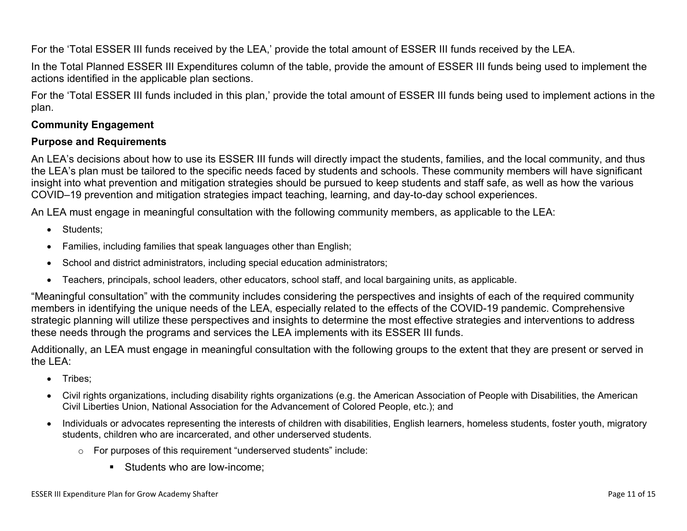For the 'Total ESSER III funds received by the LEA,' provide the total amount of ESSER III funds received by the LEA.

In the Total Planned ESSER III Expenditures column of the table, provide the amount of ESSER III funds being used to implement the actions identified in the applicable plan sections.

For the 'Total ESSER III funds included in this plan,' provide the total amount of ESSER III funds being used to implement actions in the plan.

#### <span id="page-10-0"></span>**Community Engagement**

#### **Purpose and Requirements**

An LEA's decisions about how to use its ESSER III funds will directly impact the students, families, and the local community, and thus the LEA's plan must be tailored to the specific needs faced by students and schools. These community members will have significant insight into what prevention and mitigation strategies should be pursued to keep students and staff safe, as well as how the various COVID–19 prevention and mitigation strategies impact teaching, learning, and day-to-day school experiences.

An LEA must engage in meaningful consultation with the following community members, as applicable to the LEA:

- Students:
- Families, including families that speak languages other than English;
- School and district administrators, including special education administrators;
- Teachers, principals, school leaders, other educators, school staff, and local bargaining units, as applicable.

"Meaningful consultation" with the community includes considering the perspectives and insights of each of the required community members in identifying the unique needs of the LEA, especially related to the effects of the COVID-19 pandemic. Comprehensive strategic planning will utilize these perspectives and insights to determine the most effective strategies and interventions to address these needs through the programs and services the LEA implements with its ESSER III funds.

Additionally, an LEA must engage in meaningful consultation with the following groups to the extent that they are present or served in the LEA:

- Tribes;
- Civil rights organizations, including disability rights organizations (e.g. the American Association of People with Disabilities, the American Civil Liberties Union, National Association for the Advancement of Colored People, etc.); and
- Individuals or advocates representing the interests of children with disabilities, English learners, homeless students, foster youth, migratory students, children who are incarcerated, and other underserved students.
	- o For purposes of this requirement "underserved students" include:
		- **Students who are low-income:**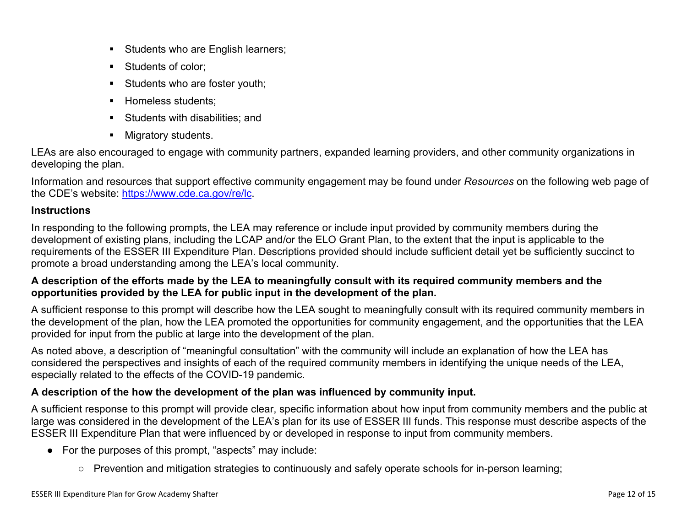- Students who are English learners;
- Students of color:
- Students who are foster youth;
- Homeless students;
- **Students with disabilities: and**
- **Migratory students.**

LEAs are also encouraged to engage with community partners, expanded learning providers, and other community organizations in developing the plan.

Information and resources that support effective community engagement may be found under *Resources* on the following web page of the CDE's website: <https://www.cde.ca.gov/re/lc>.

#### **Instructions**

In responding to the following prompts, the LEA may reference or include input provided by community members during the development of existing plans, including the LCAP and/or the ELO Grant Plan, to the extent that the input is applicable to the requirements of the ESSER III Expenditure Plan. Descriptions provided should include sufficient detail yet be sufficiently succinct to promote a broad understanding among the LEA's local community.

#### A description of the efforts made by the LEA to meaningfully consult with its required community members and the **opportunities provided by the LEA for public input in the development of the plan.**

A sufficient response to this prompt will describe how the LEA sought to meaningfully consult with its required community members in the development of the plan, how the LEA promoted the opportunities for community engagement, and the opportunities that the LEA provided for input from the public at large into the development of the plan.

As noted above, a description of "meaningful consultation" with the community will include an explanation of how the LEA has considered the perspectives and insights of each of the required community members in identifying the unique needs of the LEA, especially related to the effects of the COVID-19 pandemic.

#### **A description of the how the development of the plan was influenced by community input.**

A sufficient response to this prompt will provide clear, specific information about how input from community members and the public at large was considered in the development of the LEA's plan for its use of ESSER III funds. This response must describe aspects of the ESSER III Expenditure Plan that were influenced by or developed in response to input from community members.

- For the purposes of this prompt, "aspects" may include:
	- Prevention and mitigation strategies to continuously and safely operate schools for in-person learning;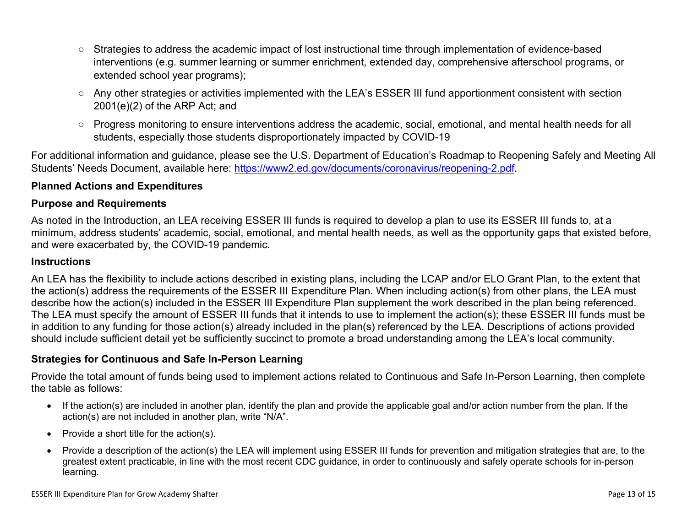- Strategies to address the academic impact of lost instructional time through implementation of evidence-based interventions (e.g. summer learning or summer enrichment, extended day, comprehensive afterschool programs, or extended school year programs);
- Any other strategies or activities implemented with the LEA's ESSER III fund apportionment consistent with section 2001(e)(2) of the ARP Act; and
- Progress monitoring to ensure interventions address the academic, social, emotional, and mental health needs for all students, especially those students disproportionately impacted by COVID-19

For additional information and guidance, please see the U.S. Department of Education's Roadmap to Reopening Safely and Meeting All Students' Needs Document, available here: [https://www2.ed.gov/documents/coronavirus/reopening-2.pdf.](https://www2.ed.gov/documents/coronavirus/reopening-2.pdf)

#### <span id="page-12-0"></span>**Planned Actions and Expenditures**

#### **Purpose and Requirements**

As noted in the Introduction, an LEA receiving ESSER III funds is required to develop a plan to use its ESSER III funds to, at a minimum, address students' academic, social, emotional, and mental health needs, as well as the opportunity gaps that existed before, and were exacerbated by, the COVID-19 pandemic.

#### **Instructions**

An LEA has the flexibility to include actions described in existing plans, including the LCAP and/or ELO Grant Plan, to the extent that the action(s) address the requirements of the ESSER III Expenditure Plan. When including action(s) from other plans, the LEA must describe how the action(s) included in the ESSER III Expenditure Plan supplement the work described in the plan being referenced. The LEA must specify the amount of ESSER III funds that it intends to use to implement the action(s); these ESSER III funds must be in addition to any funding for those action(s) already included in the plan(s) referenced by the LEA. Descriptions of actions provided should include sufficient detail yet be sufficiently succinct to promote a broad understanding among the LEA's local community.

#### <span id="page-12-1"></span>**Strategies for Continuous and Safe In-Person Learning**

Provide the total amount of funds being used to implement actions related to Continuous and Safe In-Person Learning, then complete the table as follows:

- If the action(s) are included in another plan, identify the plan and provide the applicable goal and/or action number from the plan. If the action(s) are not included in another plan, write "N/A".
- Provide a short title for the  $action(s)$ .
- Provide a description of the action(s) the LEA will implement using ESSER III funds for prevention and mitigation strategies that are, to the greatest extent practicable, in line with the most recent CDC guidance, in order to continuously and safely operate schools for in-person learning.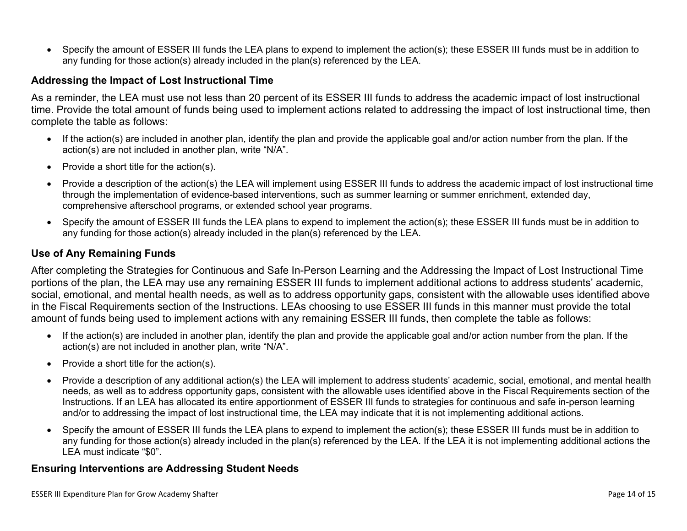Specify the amount of ESSER III funds the LEA plans to expend to implement the action(s); these ESSER III funds must be in addition to any funding for those action(s) already included in the plan(s) referenced by the LEA.

#### <span id="page-13-0"></span>**Addressing the Impact of Lost Instructional Time**

As a reminder, the LEA must use not less than 20 percent of its ESSER III funds to address the academic impact of lost instructional time. Provide the total amount of funds being used to implement actions related to addressing the impact of lost instructional time, then complete the table as follows:

- If the action(s) are included in another plan, identify the plan and provide the applicable goal and/or action number from the plan. If the action(s) are not included in another plan, write "N/A".
- Provide a short title for the  $action(s)$ .
- Provide a description of the action(s) the LEA will implement using ESSER III funds to address the academic impact of lost instructional time through the implementation of evidence-based interventions, such as summer learning or summer enrichment, extended day, comprehensive afterschool programs, or extended school year programs.
- Specify the amount of ESSER III funds the LEA plans to expend to implement the action(s); these ESSER III funds must be in addition to any funding for those action(s) already included in the plan(s) referenced by the LEA.

#### <span id="page-13-1"></span>**Use of Any Remaining Funds**

After completing the Strategies for Continuous and Safe In-Person Learning and the Addressing the Impact of Lost Instructional Time portions of the plan, the LEA may use any remaining ESSER III funds to implement additional actions to address students' academic, social, emotional, and mental health needs, as well as to address opportunity gaps, consistent with the allowable uses identified above in the Fiscal Requirements section of the Instructions. LEAs choosing to use ESSER III funds in this manner must provide the total amount of funds being used to implement actions with any remaining ESSER III funds, then complete the table as follows:

- If the action(s) are included in another plan, identify the plan and provide the applicable goal and/or action number from the plan. If the action(s) are not included in another plan, write "N/A".
- Provide a short title for the  $action(s)$ .
- Provide a description of any additional action(s) the LEA will implement to address students' academic, social, emotional, and mental health needs, as well as to address opportunity gaps, consistent with the allowable uses identified above in the Fiscal Requirements section of the Instructions. If an LEA has allocated its entire apportionment of ESSER III funds to strategies for continuous and safe in-person learning and/or to addressing the impact of lost instructional time, the LEA may indicate that it is not implementing additional actions.
- Specify the amount of ESSER III funds the LEA plans to expend to implement the action(s); these ESSER III funds must be in addition to any funding for those action(s) already included in the plan(s) referenced by the LEA. If the LEA it is not implementing additional actions the LEA must indicate "\$0".

#### <span id="page-13-2"></span>**Ensuring Interventions are Addressing Student Needs**